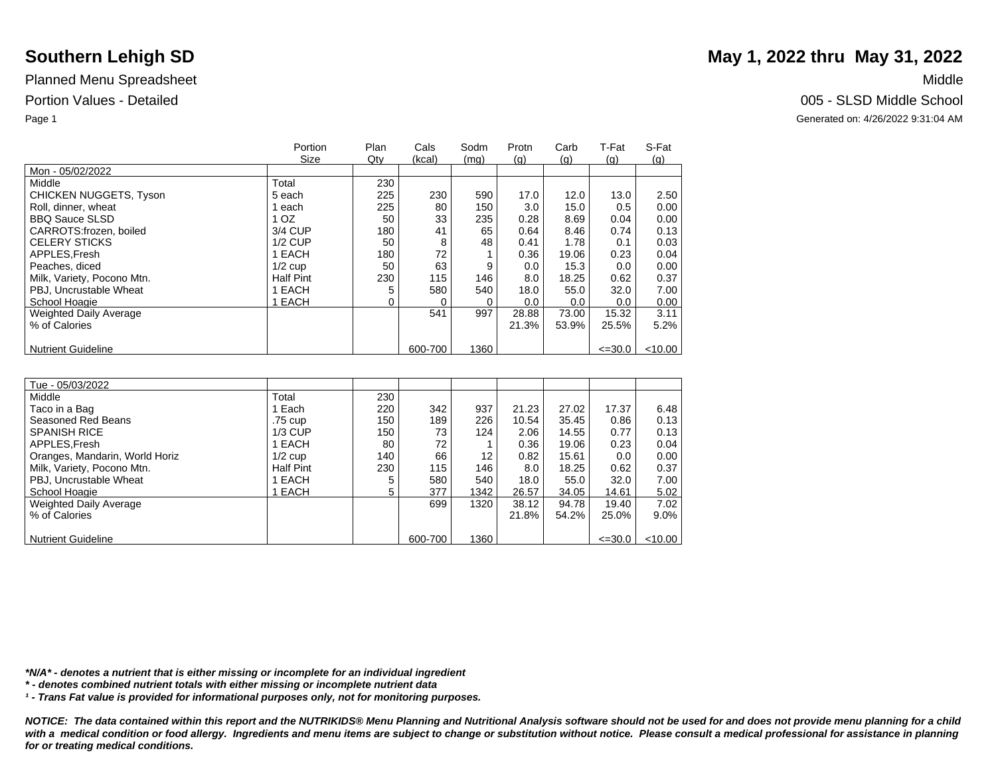|                               | Portion          | Plan | Cals    | Sodm | Protn | Carb  | T-Fat          | S-Fat     |
|-------------------------------|------------------|------|---------|------|-------|-------|----------------|-----------|
|                               | Size             | Qty  | (kcal)  | (mq) | (q)   | (q)   | $\mathsf{(q)}$ | (q)       |
| Mon - 05/02/2022              |                  |      |         |      |       |       |                |           |
| Middle                        | Total            | 230  |         |      |       |       |                |           |
| <b>CHICKEN NUGGETS, Tyson</b> | 5 each           | 225  | 230     | 590  | 17.0  | 12.0  | 13.0           | 2.50      |
| Roll, dinner, wheat           | each             | 225  | 80      | 150  | 3.0   | 15.0  | 0.5            | 0.00      |
| <b>BBQ Sauce SLSD</b>         | 1 OZ             | 50   | 33      | 235  | 0.28  | 8.69  | 0.04           | 0.00      |
| CARROTS: frozen, boiled       | 3/4 CUP          | 180  | 41      | 65   | 0.64  | 8.46  | 0.74           | 0.13      |
| <b>CELERY STICKS</b>          | $1/2$ CUP        | 50   | 8       | 48   | 0.41  | 1.78  | 0.1            | 0.03      |
| APPLES, Fresh                 | 1 EACH           | 180  | 72      |      | 0.36  | 19.06 | 0.23           | 0.04      |
| Peaches, diced                | $1/2$ cup        | 50   | 63      | 9    | 0.0   | 15.3  | 0.0            | 0.00      |
| Milk, Variety, Pocono Mtn.    | <b>Half Pint</b> | 230  | 115     | 146  | 8.0   | 18.25 | 0.62           | 0.37      |
| PBJ, Uncrustable Wheat        | 1 EACH           |      | 580     | 540  | 18.0  | 55.0  | 32.0           | 7.00      |
| School Hoagie                 | 1 EACH           | 0    |         |      | 0.0   | 0.0   | 0.0            | 0.00      |
| Weighted Daily Average        |                  |      | 541     | 997  | 28.88 | 73.00 | 15.32          | 3.11      |
| % of Calories                 |                  |      |         |      | 21.3% | 53.9% | 25.5%          | 5.2%      |
|                               |                  |      |         |      |       |       |                |           |
| <b>Nutrient Guideline</b>     |                  |      | 600-700 | 1360 |       |       | $\leq 30.0$    | $<$ 10.00 |

| Tue - 05/03/2022               |                  |     |         |      |       |       |             |           |
|--------------------------------|------------------|-----|---------|------|-------|-------|-------------|-----------|
| Middle                         | Total            | 230 |         |      |       |       |             |           |
| Taco in a Bag                  | Each             | 220 | 342     | 937  | 21.23 | 27.02 | 17.37       | 6.48      |
| Seasoned Red Beans             | .75 cup          | 150 | 189     | 226  | 10.54 | 35.45 | 0.86        | 0.13      |
| <b>SPANISH RICE</b>            | $1/3$ CUP        | 150 | 73      | 124  | 2.06  | 14.55 | 0.77        | 0.13      |
| APPLES.Fresh                   | EACH             | 80  | 72      |      | 0.36  | 19.06 | 0.23        | 0.04      |
| Oranges, Mandarin, World Horiz | $1/2$ cup        | 140 | 66      | 12   | 0.82  | 15.61 | 0.0         | 0.00      |
| Milk, Variety, Pocono Mtn.     | <b>Half Pint</b> | 230 | 115     | 146  | 8.0   | 18.25 | 0.62        | 0.37      |
| PBJ, Uncrustable Wheat         | EACH             | 5   | 580     | 540  | 18.0  | 55.0  | 32.0        | 7.00      |
| School Hoagie                  | <b>EACH</b>      | 5   | 377     | 1342 | 26.57 | 34.05 | 14.61       | 5.02      |
| <b>Weighted Daily Average</b>  |                  |     | 699     | 1320 | 38.12 | 94.78 | 19.40       | 7.02      |
| % of Calories                  |                  |     |         |      | 21.8% | 54.2% | 25.0%       | $9.0\%$   |
|                                |                  |     |         |      |       |       |             |           |
| <b>Nutrient Guideline</b>      |                  |     | 600-700 | 1360 |       |       | $\leq 30.0$ | $<$ 10.00 |

*\*N/A\* - denotes a nutrient that is either missing or incomplete for an individual ingredient*

*\* - denotes combined nutrient totals with either missing or incomplete nutrient data*

*¹ - Trans Fat value is provided for informational purposes only, not for monitoring purposes.*

*NOTICE: The data contained within this report and the NUTRIKIDS® Menu Planning and Nutritional Analysis software should not be used for and does not provide menu planning for a child*  with a medical condition or food allergy. Ingredients and menu items are subject to change or substitution without notice. Please consult a medical professional for assistance in planning *for or treating medical conditions.*

# **Southern Lehigh SD** May 1, 2022 thru May 31, 2022

Portion Values - Detailed **Detailed** 2005 - SLSD Middle School

Page 1 Generated on: 4/26/2022 9:31:04 AM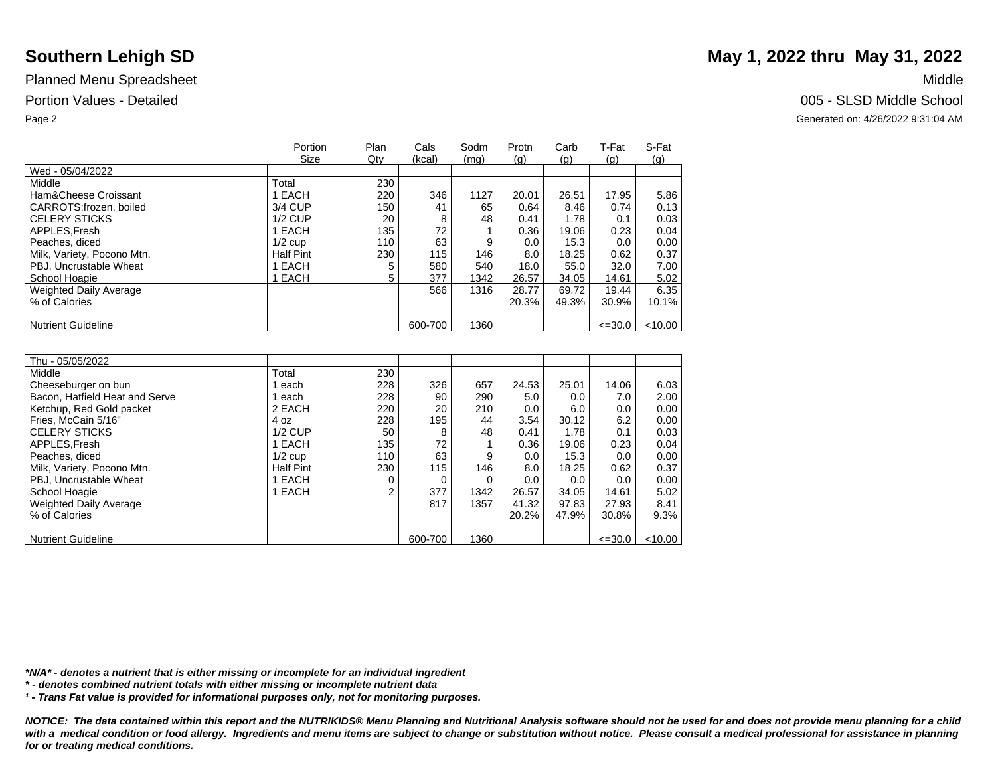|                               | Portion          | Plan | Cals    | Sodm | Protn | Carb  | T-Fat       | S-Fat     |
|-------------------------------|------------------|------|---------|------|-------|-------|-------------|-----------|
|                               | Size             | Qty  | (kcal)  | (mq) | (q)   | (q)   | (q)         | (q)       |
| Wed - 05/04/2022              |                  |      |         |      |       |       |             |           |
| Middle                        | Total            | 230  |         |      |       |       |             |           |
| Ham&Cheese Croissant          | EACH             | 220  | 346     | 1127 | 20.01 | 26.51 | 17.95       | 5.86      |
| CARROTS: frozen, boiled       | 3/4 CUP          | 150  | 41      | 65   | 0.64  | 8.46  | 0.74        | 0.13      |
| <b>CELERY STICKS</b>          | $1/2$ CUP        | 20   | 8       | 48   | 0.41  | 1.78  | 0.1         | 0.03      |
| APPLES.Fresh                  | I EACH           | 135  | 72      |      | 0.36  | 19.06 | 0.23        | 0.04      |
| Peaches, diced                | $1/2$ cup        | 110  | 63      | 9    | 0.0   | 15.3  | 0.0         | 0.00      |
| Milk, Variety, Pocono Mtn.    | <b>Half Pint</b> | 230  | 115     | 146  | 8.0   | 18.25 | 0.62        | 0.37      |
| PBJ, Uncrustable Wheat        | EACH             |      | 580     | 540  | 18.0  | 55.0  | 32.0        | 7.00      |
| School Hoagie                 | <b>EACH</b>      | 5    | 377     | 1342 | 26.57 | 34.05 | 14.61       | 5.02      |
| <b>Weighted Daily Average</b> |                  |      | 566     | 1316 | 28.77 | 69.72 | 19.44       | 6.35      |
| % of Calories                 |                  |      |         |      | 20.3% | 49.3% | 30.9%       | 10.1%     |
|                               |                  |      |         |      |       |       |             |           |
| <b>Nutrient Guideline</b>     |                  |      | 600-700 | 1360 |       |       | $\leq 30.0$ | $<$ 10.00 |

| Thu - 05/05/2022               |                  |     |         |      |       |       |             |           |
|--------------------------------|------------------|-----|---------|------|-------|-------|-------------|-----------|
| Middle                         | Total            | 230 |         |      |       |       |             |           |
| Cheeseburger on bun            | each             | 228 | 326     | 657  | 24.53 | 25.01 | 14.06       | 6.03      |
| Bacon, Hatfield Heat and Serve | each             | 228 | 90      | 290  | 5.0   | 0.0   | 7.0         | 2.00      |
| Ketchup, Red Gold packet       | 2 EACH           | 220 | 20      | 210  | 0.0   | 6.0   | 0.0         | 0.00      |
| Fries, McCain 5/16"            | 4 oz             | 228 | 195     | 44   | 3.54  | 30.12 | 6.2         | 0.00      |
| <b>CELERY STICKS</b>           | $1/2$ CUP        | 50  | 8       | 48   | 0.41  | 1.78  | 0.1         | 0.03      |
| APPLES.Fresh                   | EACH             | 135 | 72      |      | 0.36  | 19.06 | 0.23        | 0.04      |
| Peaches, diced                 | $1/2$ cup        | 110 | 63      | 9    | 0.0   | 15.3  | 0.0         | 0.00      |
| Milk, Variety, Pocono Mtn.     | <b>Half Pint</b> | 230 | 115     | 146  | 8.0   | 18.25 | 0.62        | 0.37      |
| PBJ, Uncrustable Wheat         | EACH             |     | 0       |      | 0.0   | 0.0   | 0.0         | 0.00      |
| School Hoagie                  | <b>EACH</b>      | 2   | 377     | 1342 | 26.57 | 34.05 | 14.61       | 5.02      |
| <b>Weighted Daily Average</b>  |                  |     | 817     | 1357 | 41.32 | 97.83 | 27.93       | 8.41      |
| % of Calories                  |                  |     |         |      | 20.2% | 47.9% | 30.8%       | 9.3%      |
|                                |                  |     |         |      |       |       |             |           |
| <b>Nutrient Guideline</b>      |                  |     | 600-700 | 1360 |       |       | $\leq 30.0$ | $<$ 10.00 |

*\*N/A\* - denotes a nutrient that is either missing or incomplete for an individual ingredient*

*\* - denotes combined nutrient totals with either missing or incomplete nutrient data*

*¹ - Trans Fat value is provided for informational purposes only, not for monitoring purposes.*

*NOTICE: The data contained within this report and the NUTRIKIDS® Menu Planning and Nutritional Analysis software should not be used for and does not provide menu planning for a child*  with a medical condition or food allergy. Ingredients and menu items are subject to change or substitution without notice. Please consult a medical professional for assistance in planning *for or treating medical conditions.*

## **Southern Lehigh SD** May 1, 2022 thru May 31, 2022

Portion Values - Detailed **Detailed** 2005 - SLSD Middle School

Page 2 Generated on: 4/26/2022 9:31:04 AM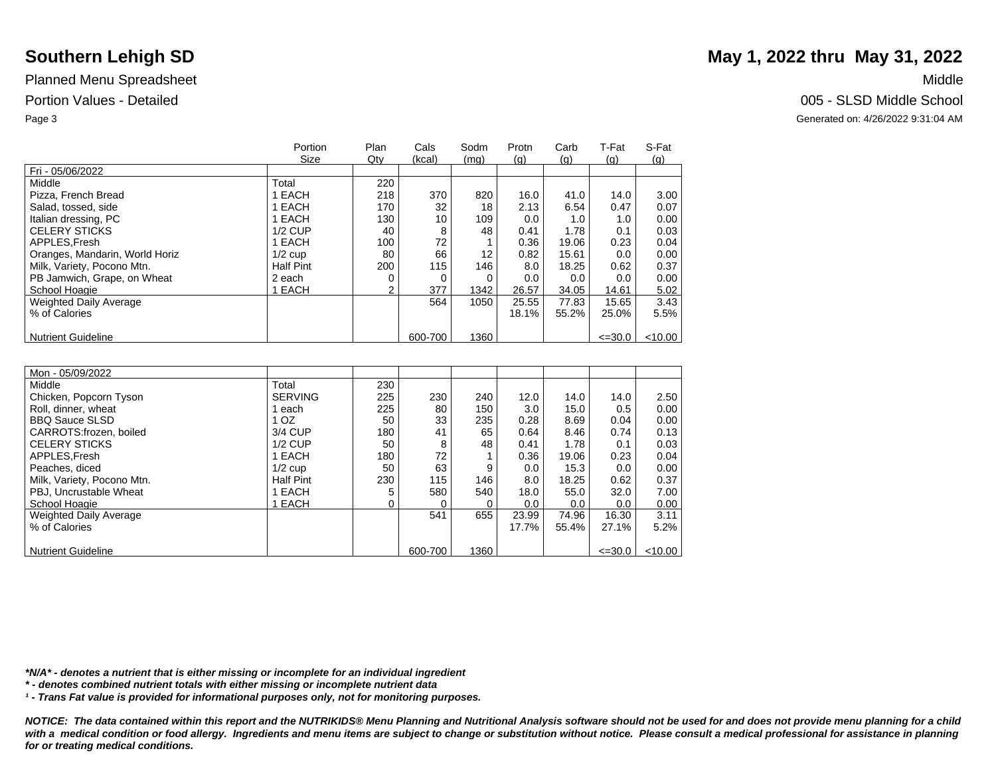|                                | Portion          | Plan | Cals    | Sodm | Protn | Carb  | T-Fat       | S-Fat      |
|--------------------------------|------------------|------|---------|------|-------|-------|-------------|------------|
|                                | Size             | Qty  | (kcal)  | (mg) | (q)   | (q)   | (q)         | <u>(g)</u> |
| Fri - 05/06/2022               |                  |      |         |      |       |       |             |            |
| Middle                         | Total            | 220  |         |      |       |       |             |            |
| Pizza, French Bread            | EACH             | 218  | 370     | 820  | 16.0  | 41.0  | 14.0        | 3.00       |
| Salad, tossed, side            | EACH             | 170  | 32      | 18   | 2.13  | 6.54  | 0.47        | 0.07       |
| Italian dressing, PC           | <b>EACH</b>      | 130  | 10      | 109  | 0.0   | 1.0   | 1.0         | 0.00       |
| <b>CELERY STICKS</b>           | $1/2$ CUP        | 40   | 8       | 48   | 0.41  | 1.78  | 0.1         | 0.03       |
| APPLES.Fresh                   | 1 EACH           | 100  | 72      |      | 0.36  | 19.06 | 0.23        | 0.04       |
| Oranges, Mandarin, World Horiz | $1/2$ cup        | 80   | 66      | 12   | 0.82  | 15.61 | 0.0         | 0.00       |
| Milk, Variety, Pocono Mtn.     | <b>Half Pint</b> | 200  | 115     | 146  | 8.0   | 18.25 | 0.62        | 0.37       |
| PB Jamwich, Grape, on Wheat    | 2 each           |      | 0       | 0    | 0.0   | 0.0   | 0.0         | 0.00       |
| School Hoagie                  | <b>EACH</b>      | 2    | 377     | 1342 | 26.57 | 34.05 | 14.61       | 5.02       |
| <b>Weighted Daily Average</b>  |                  |      | 564     | 1050 | 25.55 | 77.83 | 15.65       | 3.43       |
| % of Calories                  |                  |      |         |      | 18.1% | 55.2% | 25.0%       | 5.5%       |
|                                |                  |      |         |      |       |       |             |            |
| <b>Nutrient Guideline</b>      |                  |      | 600-700 | 1360 |       |       | $\leq 30.0$ | $<$ 10.00  |

| Mon - 05/09/2022              |                  |     |         |      |       |       |             |           |
|-------------------------------|------------------|-----|---------|------|-------|-------|-------------|-----------|
| Middle                        | Total            | 230 |         |      |       |       |             |           |
| Chicken, Popcorn Tyson        | <b>SERVING</b>   | 225 | 230     | 240  | 12.0  | 14.0  | 14.0        | 2.50      |
| Roll, dinner, wheat           | each             | 225 | 80      | 150  | 3.0   | 15.0  | 0.5         | 0.00      |
| <b>BBQ Sauce SLSD</b>         | 1 <sub>OZ</sub>  | 50  | 33      | 235  | 0.28  | 8.69  | 0.04        | 0.00      |
| CARROTS:frozen, boiled        | 3/4 CUP          | 180 | 41      | 65   | 0.64  | 8.46  | 0.74        | 0.13      |
| <b>CELERY STICKS</b>          | $1/2$ CUP        | 50  | 8       | 48   | 0.41  | 1.78  | 0.1         | 0.03      |
| APPLES.Fresh                  | 1 EACH           | 180 | 72      |      | 0.36  | 19.06 | 0.23        | 0.04      |
| Peaches, diced                | $1/2$ cup        | 50  | 63      | 9    | 0.0   | 15.3  | 0.0         | 0.00      |
| Milk, Variety, Pocono Mtn.    | <b>Half Pint</b> | 230 | 115     | 146  | 8.0   | 18.25 | 0.62        | 0.37      |
| PBJ. Uncrustable Wheat        | 1 EACH           |     | 580     | 540  | 18.0  | 55.0  | 32.0        | 7.00      |
| School Hoagie                 | <b>EACH</b>      |     |         |      | 0.0   | 0.0   | 0.0         | 0.00      |
| <b>Weighted Daily Average</b> |                  |     | 541     | 655  | 23.99 | 74.96 | 16.30       | 3.11      |
| % of Calories                 |                  |     |         |      | 17.7% | 55.4% | 27.1%       | $5.2\%$   |
|                               |                  |     |         |      |       |       |             |           |
| Nutrient Guideline            |                  |     | 600-700 | 1360 |       |       | $\leq 30.0$ | $<$ 10.00 |

*\*N/A\* - denotes a nutrient that is either missing or incomplete for an individual ingredient*

*\* - denotes combined nutrient totals with either missing or incomplete nutrient data*

*¹ - Trans Fat value is provided for informational purposes only, not for monitoring purposes.*

*NOTICE: The data contained within this report and the NUTRIKIDS® Menu Planning and Nutritional Analysis software should not be used for and does not provide menu planning for a child*  with a medical condition or food allergy. Ingredients and menu items are subject to change or substitution without notice. Please consult a medical professional for assistance in planning *for or treating medical conditions.*

## **Southern Lehigh SD** May 1, 2022 thru May 31, 2022

Portion Values - Detailed **Detailed** 2005 - SLSD Middle School

Page 3 Generated on: 4/26/2022 9:31:04 AM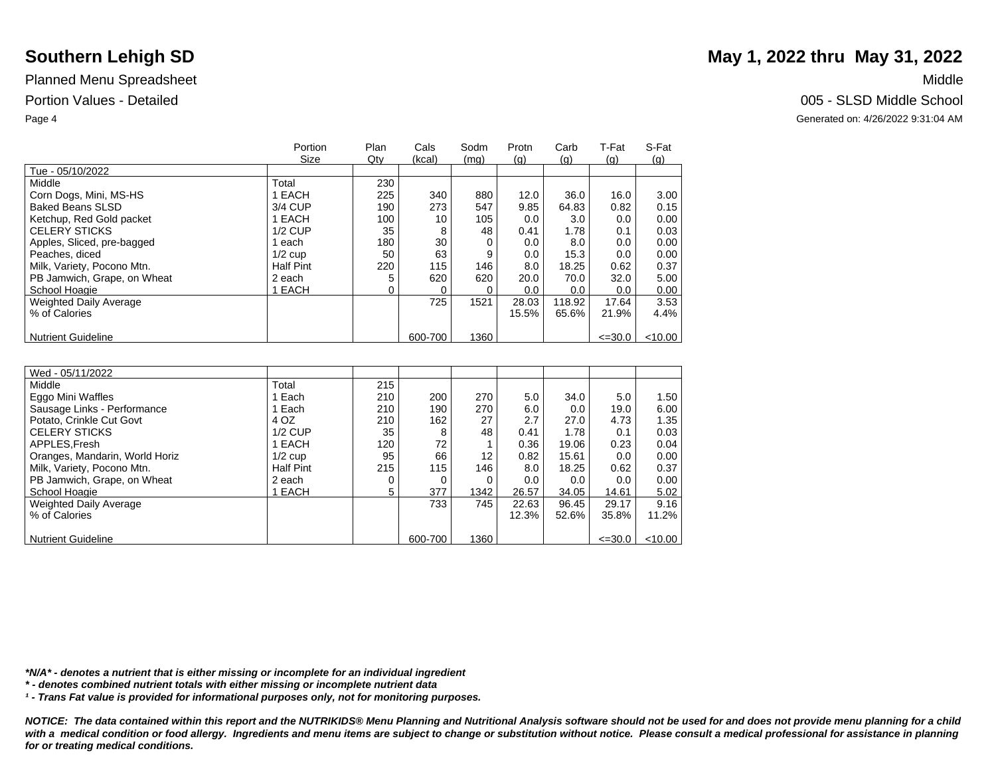|                             | Portion          | Plan | Cals    | Sodm | Protn | Carb   | T-Fat       | S-Fat      |
|-----------------------------|------------------|------|---------|------|-------|--------|-------------|------------|
|                             | Size             | Qty  | (kcal)  | (mg) | (q)   | (q)    | (q)         | <u>(g)</u> |
| Tue - 05/10/2022            |                  |      |         |      |       |        |             |            |
| Middle                      | Total            | 230  |         |      |       |        |             |            |
| Corn Dogs, Mini, MS-HS      | EACH             | 225  | 340     | 880  | 12.0  | 36.0   | 16.0        | 3.00       |
| <b>Baked Beans SLSD</b>     | 3/4 CUP          | 190  | 273     | 547  | 9.85  | 64.83  | 0.82        | 0.15       |
| Ketchup, Red Gold packet    | EACH             | 100  | 10      | 105  | 0.0   | 3.0    | 0.0         | 0.00       |
| <b>CELERY STICKS</b>        | $1/2$ CUP        | 35   | 8       | 48   | 0.41  | 1.78   | 0.1         | 0.03       |
| Apples, Sliced, pre-bagged  | each             | 180  | 30      |      | 0.0   | 8.0    | 0.0         | 0.00       |
| Peaches, diced              | $1/2$ cup        | 50   | 63      | 9    | 0.0   | 15.3   | 0.0         | 0.00       |
| Milk, Variety, Pocono Mtn.  | <b>Half Pint</b> | 220  | 115     | 146  | 8.0   | 18.25  | 0.62        | 0.37       |
| PB Jamwich, Grape, on Wheat | 2 each           |      | 620     | 620  | 20.0  | 70.0   | 32.0        | 5.00       |
| School Hoagie               | <b>EACH</b>      |      |         |      | 0.0   | 0.0    | 0.0         | 0.00       |
| Weighted Daily Average      |                  |      | 725     | 1521 | 28.03 | 118.92 | 17.64       | 3.53       |
| % of Calories               |                  |      |         |      | 15.5% | 65.6%  | 21.9%       | 4.4%       |
|                             |                  |      |         |      |       |        |             |            |
| <b>Nutrient Guideline</b>   |                  |      | 600-700 | 1360 |       |        | $\leq 30.0$ | $<$ 10.00  |

| Wed - 05/11/2022               |                  |     |         |                   |       |       |             |           |
|--------------------------------|------------------|-----|---------|-------------------|-------|-------|-------------|-----------|
| Middle                         | Total            | 215 |         |                   |       |       |             |           |
| Eggo Mini Waffles              | Each             | 210 | 200     | 270               | 5.0   | 34.0  | 5.0         | 1.50      |
| Sausage Links - Performance    | Each             | 210 | 190     | 270               | 6.0   | 0.0   | 19.0        | 6.00      |
| Potato, Crinkle Cut Govt       | 4 OZ             | 210 | 162     | 27                | 2.7   | 27.0  | 4.73        | 1.35      |
| <b>CELERY STICKS</b>           | $1/2$ CUP        | 35  | 8       | 48                | 0.41  | 1.78  | 0.1         | 0.03      |
| APPLES.Fresh                   | 1 EACH           | 120 | 72      |                   | 0.36  | 19.06 | 0.23        | 0.04      |
| Oranges, Mandarin, World Horiz | $1/2$ cup        | 95  | 66      | $12 \overline{ }$ | 0.82  | 15.61 | 0.0         | 0.00      |
| Milk, Variety, Pocono Mtn.     | <b>Half Pint</b> | 215 | 115     | 146               | 8.0   | 18.25 | 0.62        | 0.37      |
| PB Jamwich, Grape, on Wheat    | 2 each           | 0   |         |                   | 0.0   | 0.0   | 0.0         | 0.00      |
| School Hoagie                  | EACH             | 5   | 377     | 1342              | 26.57 | 34.05 | 14.61       | 5.02      |
| Weighted Daily Average         |                  |     | 733     | 745               | 22.63 | 96.45 | 29.17       | 9.16      |
| % of Calories                  |                  |     |         |                   | 12.3% | 52.6% | 35.8%       | $11.2\%$  |
|                                |                  |     |         |                   |       |       |             |           |
| <b>Nutrient Guideline</b>      |                  |     | 600-700 | 1360              |       |       | $\leq 30.0$ | $<$ 10.00 |

*\*N/A\* - denotes a nutrient that is either missing or incomplete for an individual ingredient*

*\* - denotes combined nutrient totals with either missing or incomplete nutrient data*

*¹ - Trans Fat value is provided for informational purposes only, not for monitoring purposes.*

*NOTICE: The data contained within this report and the NUTRIKIDS® Menu Planning and Nutritional Analysis software should not be used for and does not provide menu planning for a child*  with a medical condition or food allergy. Ingredients and menu items are subject to change or substitution without notice. Please consult a medical professional for assistance in planning *for or treating medical conditions.*

# **Southern Lehigh SD** May 1, 2022 thru May 31, 2022

Portion Values - Detailed **Detailed** 2005 - SLSD Middle School

Page 4 Generated on: 4/26/2022 9:31:04 AM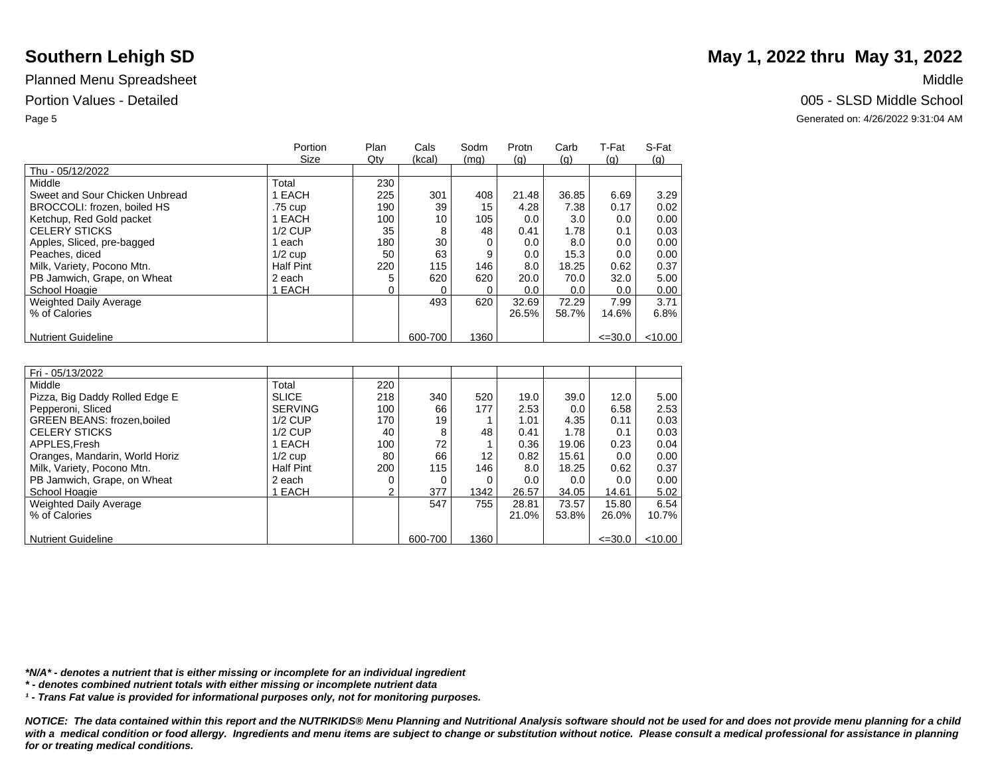|                                | Portion          | Plan | Cals    | Sodm | Protn | Carb  | T-Fat       | S-Fat      |
|--------------------------------|------------------|------|---------|------|-------|-------|-------------|------------|
|                                | Size             | Qty  | (kcal)  | (mg) | (q)   | (q)   | (q)         | <u>(g)</u> |
| Thu - 05/12/2022               |                  |      |         |      |       |       |             |            |
| Middle                         | Total            | 230  |         |      |       |       |             |            |
| Sweet and Sour Chicken Unbread | EACH             | 225  | 301     | 408  | 21.48 | 36.85 | 6.69        | 3.29       |
| BROCCOLI: frozen, boiled HS    | .75 cup          | 190  | 39      | 15   | 4.28  | 7.38  | 0.17        | 0.02       |
| Ketchup, Red Gold packet       | EACH             | 100  | 10      | 105  | 0.0   | 3.0   | 0.0         | 0.00       |
| <b>CELERY STICKS</b>           | $1/2$ CUP        | 35   | 8       | 48   | 0.41  | 1.78  | 0.1         | 0.03       |
| Apples, Sliced, pre-bagged     | each             | 180  | 30      |      | 0.0   | 8.0   | 0.0         | 0.00       |
| Peaches, diced                 | $1/2$ cup        | 50   | 63      | 9    | 0.0   | 15.3  | 0.0         | 0.00       |
| Milk, Variety, Pocono Mtn.     | <b>Half Pint</b> | 220  | 115     | 146  | 8.0   | 18.25 | 0.62        | 0.37       |
| PB Jamwich, Grape, on Wheat    | 2 each           |      | 620     | 620  | 20.0  | 70.0  | 32.0        | 5.00       |
| School Hoagie                  | EACH             |      | 0       |      | 0.0   | 0.0   | 0.0         | 0.00       |
| Weighted Daily Average         |                  |      | 493     | 620  | 32.69 | 72.29 | 7.99        | 3.71       |
| % of Calories                  |                  |      |         |      | 26.5% | 58.7% | 14.6%       | 6.8%       |
|                                |                  |      |         |      |       |       |             |            |
| <b>Nutrient Guideline</b>      |                  |      | 600-700 | 1360 |       |       | $\leq 30.0$ | $<$ 10.00  |

| Fri - 05/13/2022                  |                  |     |         |      |       |       |             |           |
|-----------------------------------|------------------|-----|---------|------|-------|-------|-------------|-----------|
| Middle                            | Total            | 220 |         |      |       |       |             |           |
| Pizza, Big Daddy Rolled Edge E    | <b>SLICE</b>     | 218 | 340     | 520  | 19.0  | 39.0  | 12.0        | 5.00      |
| Pepperoni, Sliced                 | <b>SERVING</b>   | 100 | 66      | 177  | 2.53  | 0.0   | 6.58        | 2.53      |
| <b>GREEN BEANS: frozen.boiled</b> | $1/2$ CUP        | 170 | 19      |      | 1.01  | 4.35  | 0.11        | 0.03      |
| <b>CELERY STICKS</b>              | $1/2$ CUP        | 40  | 8       | 48   | 0.41  | 1.78  | 0.1         | 0.03      |
| APPLES.Fresh                      | 1 EACH           | 100 | 72      |      | 0.36  | 19.06 | 0.23        | 0.04      |
| Oranges, Mandarin, World Horiz    | $1/2$ cup        | 80  | 66      | 12   | 0.82  | 15.61 | 0.0         | 0.00      |
| Milk, Variety, Pocono Mtn.        | <b>Half Pint</b> | 200 | 115     | 146  | 8.0   | 18.25 | 0.62        | 0.37      |
| PB Jamwich, Grape, on Wheat       | 2 each           |     |         |      | 0.0   | 0.0   | 0.0         | 0.00      |
| School Hoagie                     | EACH             | 2   | 377     | 1342 | 26.57 | 34.05 | 14.61       | 5.02      |
| Weighted Daily Average            |                  |     | 547     | 755  | 28.81 | 73.57 | 15.80       | 6.54      |
| % of Calories                     |                  |     |         |      | 21.0% | 53.8% | 26.0%       | $10.7\%$  |
|                                   |                  |     |         |      |       |       |             |           |
| <b>Nutrient Guideline</b>         |                  |     | 600-700 | 1360 |       |       | $\leq 30.0$ | $<$ 10.00 |

*\*N/A\* - denotes a nutrient that is either missing or incomplete for an individual ingredient*

*\* - denotes combined nutrient totals with either missing or incomplete nutrient data*

*¹ - Trans Fat value is provided for informational purposes only, not for monitoring purposes.*

*NOTICE: The data contained within this report and the NUTRIKIDS® Menu Planning and Nutritional Analysis software should not be used for and does not provide menu planning for a child*  with a medical condition or food allergy. Ingredients and menu items are subject to change or substitution without notice. Please consult a medical professional for assistance in planning *for or treating medical conditions.*

# **Southern Lehigh SD** May 1, 2022 thru May 31, 2022

Portion Values - Detailed **Detailed** 2005 - SLSD Middle School

Page 5 Generated on: 4/26/2022 9:31:04 AM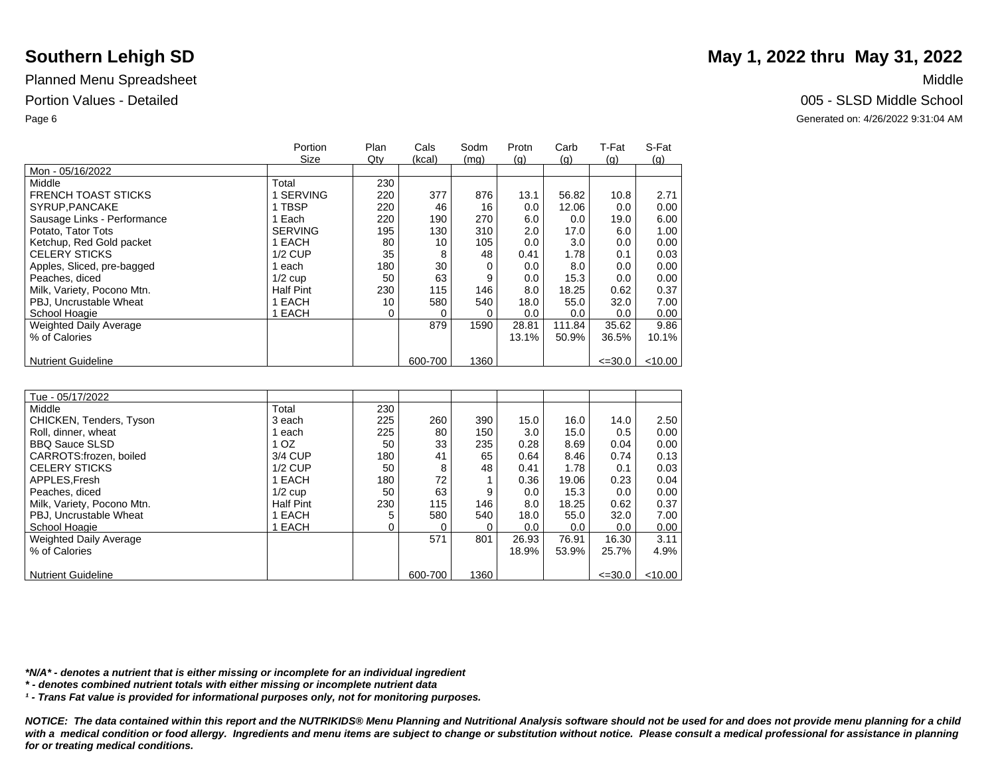|                               | Portion          | Plan | Cals    | Sodm | Protn | Carb   | T-Fat       | S-Fat   |
|-------------------------------|------------------|------|---------|------|-------|--------|-------------|---------|
|                               | <b>Size</b>      | Qty  | (kcal)  | (mg) | (q)   | (q)    | (q)         | (g)     |
| Mon - 05/16/2022              |                  |      |         |      |       |        |             |         |
| Middle                        | Total            | 230  |         |      |       |        |             |         |
| <b>FRENCH TOAST STICKS</b>    | <b>SERVING</b>   | 220  | 377     | 876  | 13.1  | 56.82  | 10.8        | 2.71    |
| SYRUP, PANCAKE                | 1 TBSP           | 220  | 46      | 16   | 0.0   | 12.06  | 0.0         | 0.00    |
| Sausage Links - Performance   | Each             | 220  | 190     | 270  | 6.0   | 0.0    | 19.0        | 6.00    |
| Potato, Tator Tots            | <b>SERVING</b>   | 195  | 130     | 310  | 2.0   | 17.0   | 6.0         | 1.00    |
| Ketchup, Red Gold packet      | 1 EACH           | 80   | 10      | 105  | 0.0   | 3.0    | 0.0         | 0.00    |
| <b>CELERY STICKS</b>          | $1/2$ CUP        | 35   | 8       | 48   | 0.41  | 1.78   | 0.1         | 0.03    |
| Apples, Sliced, pre-bagged    | each             | 180  | 30      |      | 0.0   | 8.0    | 0.0         | 0.00    |
| Peaches, diced                | $1/2$ cup        | 50   | 63      | 9    | 0.0   | 15.3   | 0.0         | 0.00    |
| Milk, Variety, Pocono Mtn.    | <b>Half Pint</b> | 230  | 115     | 146  | 8.0   | 18.25  | 0.62        | 0.37    |
| PBJ, Uncrustable Wheat        | EACH             | 10   | 580     | 540  | 18.0  | 55.0   | 32.0        | 7.00    |
| School Hoagie                 | EACH             | 0    |         | 0    | 0.0   | 0.0    | 0.0         | 0.00    |
| <b>Weighted Daily Average</b> |                  |      | 879     | 1590 | 28.81 | 111.84 | 35.62       | 9.86    |
| % of Calories                 |                  |      |         |      | 13.1% | 50.9%  | 36.5%       | 10.1%   |
|                               |                  |      |         |      |       |        |             |         |
| <b>Nutrient Guideline</b>     |                  |      | 600-700 | 1360 |       |        | $\leq 30.0$ | < 10.00 |

| Tue - 05/17/2022              |                  |     |         |      |       |       |             |           |
|-------------------------------|------------------|-----|---------|------|-------|-------|-------------|-----------|
| Middle                        | Total            | 230 |         |      |       |       |             |           |
| CHICKEN, Tenders, Tyson       | 3 each           | 225 | 260     | 390  | 15.0  | 16.0  | 14.0        | 2.50      |
| Roll, dinner, wheat           | each             | 225 | 80      | 150  | 3.0   | 15.0  | 0.5         | 0.00      |
| <b>BBQ Sauce SLSD</b>         | 1 <sub>OZ</sub>  | 50  | 33      | 235  | 0.28  | 8.69  | 0.04        | 0.00      |
| CARROTS: frozen, boiled       | 3/4 CUP          | 180 | 41      | 65   | 0.64  | 8.46  | 0.74        | 0.13      |
| <b>CELERY STICKS</b>          | $1/2$ CUP        | 50  | 8       | 48   | 0.41  | 1.78  | 0.1         | 0.03      |
| APPLES, Fresh                 | 1 EACH           | 180 | 72      |      | 0.36  | 19.06 | 0.23        | 0.04      |
| Peaches, diced                | $1/2$ cup        | 50  | 63      | 9    | 0.0   | 15.3  | 0.0         | 0.00      |
| Milk, Variety, Pocono Mtn.    | <b>Half Pint</b> | 230 | 115     | 146  | 8.0   | 18.25 | 0.62        | 0.37      |
| PBJ. Uncrustable Wheat        | 1 EACH           |     | 580     | 540  | 18.0  | 55.0  | 32.0        | 7.00      |
| School Hoagie                 | 1 EACH           |     |         | 0    | 0.0   | 0.0   | 0.0         | 0.00      |
| <b>Weighted Daily Average</b> |                  |     | 571     | 801  | 26.93 | 76.91 | 16.30       | 3.11      |
| % of Calories                 |                  |     |         |      | 18.9% | 53.9% | 25.7%       | 4.9%      |
|                               |                  |     |         |      |       |       |             |           |
| <b>Nutrient Guideline</b>     |                  |     | 600-700 | 1360 |       |       | $\leq 30.0$ | $<$ 10.00 |

*\*N/A\* - denotes a nutrient that is either missing or incomplete for an individual ingredient*

*\* - denotes combined nutrient totals with either missing or incomplete nutrient data*

*¹ - Trans Fat value is provided for informational purposes only, not for monitoring purposes.*

*NOTICE: The data contained within this report and the NUTRIKIDS® Menu Planning and Nutritional Analysis software should not be used for and does not provide menu planning for a child*  with a medical condition or food allergy. Ingredients and menu items are subject to change or substitution without notice. Please consult a medical professional for assistance in planning *for or treating medical conditions.*

## **Southern Lehigh SD** May 1, 2022 thru May 31, 2022

Portion Values - Detailed **Detailed** 2005 - SLSD Middle School

Page 6 Generated on: 4/26/2022 9:31:04 AM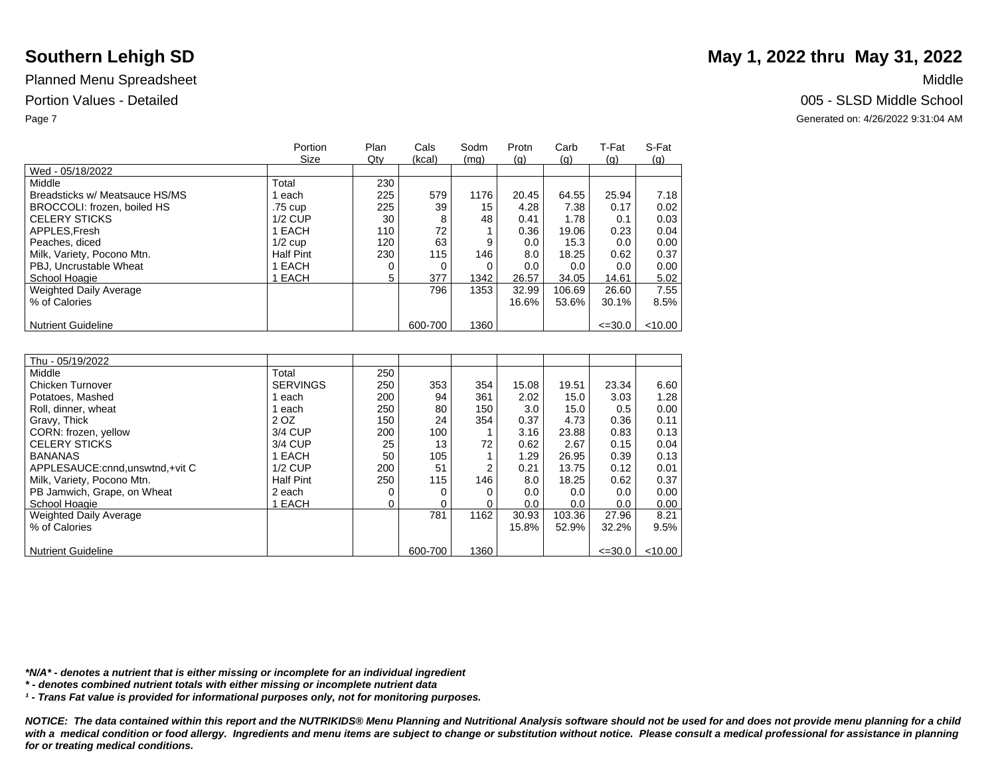|                                | Portion<br>Size  | Plan<br>Qty | Cals<br>(kcal) | Sodm<br>(mq) | Protn | Carb<br>(q) | T-Fat       | S-Fat   |
|--------------------------------|------------------|-------------|----------------|--------------|-------|-------------|-------------|---------|
| Wed - 05/18/2022               |                  |             |                |              | (q)   |             | (q)         | (q)     |
| Middle                         | Total            | 230         |                |              |       |             |             |         |
| Breadsticks w/ Meatsauce HS/MS | each             | 225         | 579            | 1176         | 20.45 | 64.55       | 25.94       | 7.18    |
| BROCCOLI: frozen, boiled HS    | .75 cup          | 225         | 39             | 15           | 4.28  | 7.38        | 0.17        | 0.02    |
| <b>CELERY STICKS</b>           | $1/2$ CUP        | 30          | 8              | 48           | 0.41  | 1.78        | 0.1         | 0.03    |
| APPLES.Fresh                   | 1 EACH           | 110         | 72             |              | 0.36  | 19.06       | 0.23        | 0.04    |
| Peaches, diced                 | $1/2$ cup        | 120         | 63             | 9            | 0.0   | 15.3        | 0.0         | 0.00    |
| Milk, Variety, Pocono Mtn.     | <b>Half Pint</b> | 230         | 115            | 146          | 8.0   | 18.25       | 0.62        | 0.37    |
| PBJ, Uncrustable Wheat         | 1 EACH           |             |                |              | 0.0   | 0.0         | 0.0         | 0.00    |
| School Hoagie                  | 1 EACH           | 5           | 377            | 1342         | 26.57 | 34.05       | 14.61       | 5.02    |
| <b>Weighted Daily Average</b>  |                  |             | 796            | 1353         | 32.99 | 106.69      | 26.60       | 7.55    |
| % of Calories                  |                  |             |                |              | 16.6% | 53.6%       | 30.1%       | 8.5%    |
|                                |                  |             |                |              |       |             |             |         |
| <b>Nutrient Guideline</b>      |                  |             | 600-700        | 1360         |       |             | $\leq 30.0$ | < 10.00 |

| Thu - 05/19/2022                |                  |     |         |      |       |        |             |         |
|---------------------------------|------------------|-----|---------|------|-------|--------|-------------|---------|
| Middle                          | Total            | 250 |         |      |       |        |             |         |
| Chicken Turnover                | <b>SERVINGS</b>  | 250 | 353     | 354  | 15.08 | 19.51  | 23.34       | 6.60    |
| Potatoes, Mashed                | each             | 200 | 94      | 361  | 2.02  | 15.0   | 3.03        | 1.28    |
| Roll, dinner, wheat             | each             | 250 | 80      | 150  | 3.0   | 15.0   | 0.5         | 0.00    |
| Gravy, Thick                    | 2 OZ             | 150 | 24      | 354  | 0.37  | 4.73   | 0.36        | 0.11    |
| CORN: frozen, yellow            | 3/4 CUP          | 200 | 100     |      | 3.16  | 23.88  | 0.83        | 0.13    |
| <b>CELERY STICKS</b>            | 3/4 CUP          | 25  | 13      | 72   | 0.62  | 2.67   | 0.15        | 0.04    |
| <b>BANANAS</b>                  | 1 EACH           | 50  | 105     |      | 1.29  | 26.95  | 0.39        | 0.13    |
| APPLESAUCE: cnnd.unswtnd.+vit C | $1/2$ CUP        | 200 | 51      | 2    | 0.21  | 13.75  | 0.12        | 0.01    |
| Milk, Variety, Pocono Mtn.      | <b>Half Pint</b> | 250 | 115     | 146  | 8.0   | 18.25  | 0.62        | 0.37    |
| PB Jamwich, Grape, on Wheat     | 2 each           |     |         |      | 0.0   | 0.0    | 0.0         | 0.00    |
| School Hoagie                   | 1 EACH           |     | 0       |      | 0.0   | 0.0    | 0.0         | 0.00    |
| <b>Weighted Daily Average</b>   |                  |     | 781     | 1162 | 30.93 | 103.36 | 27.96       | 8.21    |
| % of Calories                   |                  |     |         |      | 15.8% | 52.9%  | 32.2%       | 9.5%    |
|                                 |                  |     |         |      |       |        |             |         |
| <b>Nutrient Guideline</b>       |                  |     | 600-700 | 1360 |       |        | $\leq 30.0$ | < 10.00 |

*\*N/A\* - denotes a nutrient that is either missing or incomplete for an individual ingredient*

*\* - denotes combined nutrient totals with either missing or incomplete nutrient data*

*¹ - Trans Fat value is provided for informational purposes only, not for monitoring purposes.*

*NOTICE: The data contained within this report and the NUTRIKIDS® Menu Planning and Nutritional Analysis software should not be used for and does not provide menu planning for a child*  with a medical condition or food allergy. Ingredients and menu items are subject to change or substitution without notice. Please consult a medical professional for assistance in planning *for or treating medical conditions.*

## **Southern Lehigh SD** May 1, 2022 thru May 31, 2022

### Portion Values - Detailed **Detailed** 2005 - SLSD Middle School

Page 7 Generated on: 4/26/2022 9:31:04 AM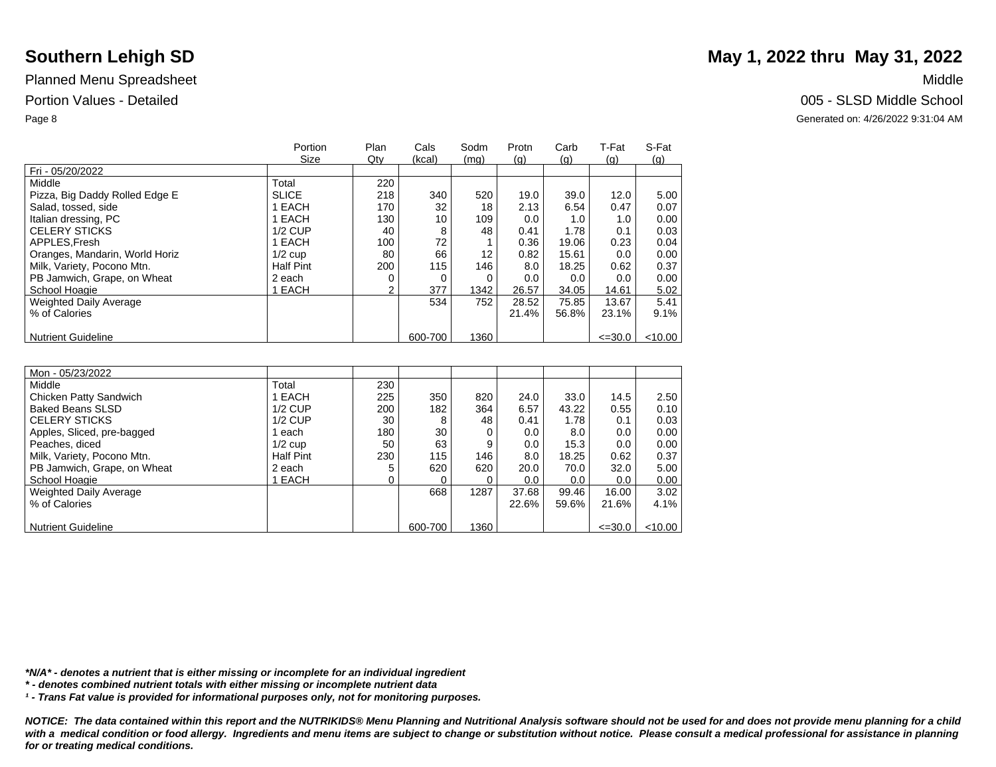|                                | Portion          | Plan | Cals    | Sodm | Protn | Carb  | T-Fat       | S-Fat      |
|--------------------------------|------------------|------|---------|------|-------|-------|-------------|------------|
|                                | Size             | Qty  | (kcal)  | (mg) | (q)   | (q)   | (q)         | <u>(g)</u> |
| Fri - 05/20/2022               |                  |      |         |      |       |       |             |            |
| Middle                         | Total            | 220  |         |      |       |       |             |            |
| Pizza, Big Daddy Rolled Edge E | <b>SLICE</b>     | 218  | 340     | 520  | 19.0  | 39.0  | 12.0        | 5.00       |
| Salad, tossed, side            | EACH             | 170  | 32      | 18   | 2.13  | 6.54  | 0.47        | 0.07       |
| Italian dressing, PC           | <b>EACH</b>      | 130  | 10      | 109  | 0.0   | 1.0   | 1.0         | 0.00       |
| <b>CELERY STICKS</b>           | $1/2$ CUP        | 40   | 8       | 48   | 0.41  | 1.78  | 0.1         | 0.03       |
| APPLES, Fresh                  | 1 EACH           | 100  | 72      |      | 0.36  | 19.06 | 0.23        | 0.04       |
| Oranges, Mandarin, World Horiz | $1/2$ cup        | 80   | 66      | 12   | 0.82  | 15.61 | 0.0         | 0.00       |
| Milk, Variety, Pocono Mtn.     | <b>Half Pint</b> | 200  | 115     | 146  | 8.0   | 18.25 | 0.62        | 0.37       |
| PB Jamwich, Grape, on Wheat    | 2 each           |      | 0       |      | 0.0   | 0.0   | 0.0         | 0.00       |
| School Hoagie                  | <b>EACH</b>      | ◠    | 377     | 1342 | 26.57 | 34.05 | 14.61       | 5.02       |
| Weighted Daily Average         |                  |      | 534     | 752  | 28.52 | 75.85 | 13.67       | 5.41       |
| % of Calories                  |                  |      |         |      | 21.4% | 56.8% | 23.1%       | $9.1\%$    |
|                                |                  |      |         |      |       |       |             |            |
| <b>Nutrient Guideline</b>      |                  |      | 600-700 | 1360 |       |       | $\leq 30.0$ | < 10.00    |

| Mon - 05/23/2022            |                  |     |         |      |         |       |             |           |
|-----------------------------|------------------|-----|---------|------|---------|-------|-------------|-----------|
| Middle                      | Total            | 230 |         |      |         |       |             |           |
| Chicken Patty Sandwich      | 1 EACH           | 225 | 350     | 820  | 24.0    | 33.0  | 14.5        | 2.50      |
| <b>Baked Beans SLSD</b>     | $1/2$ CUP        | 200 | 182     | 364  | 6.57    | 43.22 | 0.55        | 0.10      |
| <b>CELERY STICKS</b>        | $1/2$ CUP        | 30  | 8       | 48   | 0.41    | 1.78  | 0.1         | 0.03      |
| Apples, Sliced, pre-bagged  | each             | 180 | 30      |      | 0.0     | 8.0   | 0.0         | 0.00      |
| Peaches, diced              | $1/2$ cup        | 50  | 63      | 9    | $0.0\,$ | 15.3  | 0.0         | 0.00      |
| Milk, Variety, Pocono Mtn.  | <b>Half Pint</b> | 230 | 115     | 146  | 8.0     | 18.25 | 0.62        | 0.37      |
| PB Jamwich, Grape, on Wheat | 2 each           |     | 620     | 620  | 20.0    | 70.0  | 32.0        | 5.00      |
| School Hoagie               | EACH             |     |         |      | 0.0     | 0.0   | 0.0         | 0.00      |
| Weighted Daily Average      |                  |     | 668     | 1287 | 37.68   | 99.46 | 16.00       | 3.02      |
| % of Calories               |                  |     |         |      | 22.6%   | 59.6% | 21.6%       | 4.1%      |
|                             |                  |     |         |      |         |       |             |           |
| <b>Nutrient Guideline</b>   |                  |     | 600-700 | 1360 |         |       | $\leq 30.0$ | $<$ 10.00 |

*\*N/A\* - denotes a nutrient that is either missing or incomplete for an individual ingredient*

*\* - denotes combined nutrient totals with either missing or incomplete nutrient data*

*¹ - Trans Fat value is provided for informational purposes only, not for monitoring purposes.*

*NOTICE: The data contained within this report and the NUTRIKIDS® Menu Planning and Nutritional Analysis software should not be used for and does not provide menu planning for a child*  with a medical condition or food allergy. Ingredients and menu items are subject to change or substitution without notice. Please consult a medical professional for assistance in planning *for or treating medical conditions.*

# **Southern Lehigh SD** May 1, 2022 thru May 31, 2022

Portion Values - Detailed **Detailed** 2005 - SLSD Middle School

Page 8 Generated on: 4/26/2022 9:31:04 AM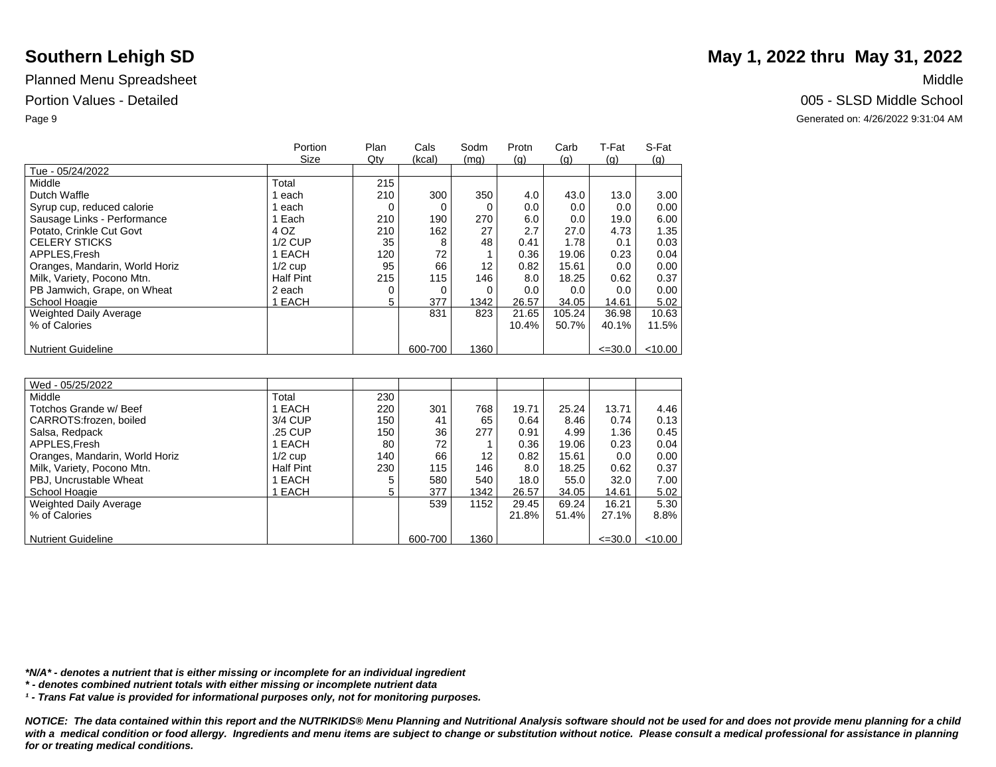|                                | Portion          | Plan | Cals    | Sodm | Protn | Carb   | T-Fat          | S-Fat     |
|--------------------------------|------------------|------|---------|------|-------|--------|----------------|-----------|
|                                | Size             | Qty  | (kcal)  | (mq) | (q)   | (q)    | $\mathsf{(q)}$ | (q)       |
| Tue - 05/24/2022               |                  |      |         |      |       |        |                |           |
| Middle                         | Total            | 215  |         |      |       |        |                |           |
| Dutch Waffle                   | each             | 210  | 300     | 350  | 4.0   | 43.0   | 13.0           | 3.00      |
| Syrup cup, reduced calorie     | each             |      | 0       |      | 0.0   | 0.0    | 0.0            | 0.00      |
| Sausage Links - Performance    | Each             | 210  | 190     | 270  | 6.0   | 0.0    | 19.0           | 6.00      |
| Potato, Crinkle Cut Govt       | 4 OZ             | 210  | 162     | 27   | 2.7   | 27.0   | 4.73           | 1.35      |
| <b>CELERY STICKS</b>           | $1/2$ CUP        | 35   | 8       | 48   | 0.41  | 1.78   | 0.1            | 0.03      |
| APPLES.Fresh                   | 1 EACH           | 120  | 72      |      | 0.36  | 19.06  | 0.23           | 0.04      |
| Oranges, Mandarin, World Horiz | $1/2$ cup        | 95   | 66      | 12   | 0.82  | 15.61  | 0.0            | 0.00      |
| Milk, Variety, Pocono Mtn.     | <b>Half Pint</b> | 215  | 115     | 146  | 8.0   | 18.25  | 0.62           | 0.37      |
| PB Jamwich, Grape, on Wheat    | 2 each           | 0    | 0       |      | 0.0   | 0.0    | 0.0            | 0.00      |
| School Hoagie                  | 1 EACH           | 5    | 377     | 1342 | 26.57 | 34.05  | 14.61          | 5.02      |
| Weighted Daily Average         |                  |      | 831     | 823  | 21.65 | 105.24 | 36.98          | 10.63     |
| % of Calories                  |                  |      |         |      | 10.4% | 50.7%  | 40.1%          | 11.5%     |
|                                |                  |      |         |      |       |        |                |           |
| <b>Nutrient Guideline</b>      |                  |      | 600-700 | 1360 |       |        | $\leq 30.0$    | $<$ 10.00 |

| Wed - 05/25/2022               |                  |     |         |      |       |       |             |           |
|--------------------------------|------------------|-----|---------|------|-------|-------|-------------|-----------|
| Middle                         | Total            | 230 |         |      |       |       |             |           |
| Totchos Grande w/ Beef         | EACH             | 220 | 301     | 768  | 19.71 | 25.24 | 13.71       | 4.46      |
| CARROTS: frozen, boiled        | 3/4 CUP          | 150 | 41      | 65   | 0.64  | 8.46  | 0.74        | 0.13      |
| Salsa, Redpack                 | .25 CUP          | 150 | 36      | 277  | 0.91  | 4.99  | 1.36        | 0.45      |
| APPLES, Fresh                  | EACH             | 80  | 72      |      | 0.36  | 19.06 | 0.23        | 0.04      |
| Oranges, Mandarin, World Horiz | $1/2$ cup        | 140 | 66      | 12   | 0.82  | 15.61 | 0.0         | 0.00      |
| Milk, Variety, Pocono Mtn.     | <b>Half Pint</b> | 230 | 115     | 146  | 8.0   | 18.25 | 0.62        | 0.37      |
| PBJ, Uncrustable Wheat         | EACH             | 5   | 580     | 540  | 18.0  | 55.0  | 32.0        | 7.00      |
| School Hoagie                  | <b>EACH</b>      | 5   | 377     | 1342 | 26.57 | 34.05 | 14.61       | 5.02      |
| Weighted Daily Average         |                  |     | 539     | 1152 | 29.45 | 69.24 | 16.21       | 5.30      |
| % of Calories                  |                  |     |         |      | 21.8% | 51.4% | 27.1%       | 8.8%      |
|                                |                  |     |         |      |       |       |             |           |
| <b>Nutrient Guideline</b>      |                  |     | 600-700 | 1360 |       |       | $\leq 30.0$ | $<$ 10.00 |

*\*N/A\* - denotes a nutrient that is either missing or incomplete for an individual ingredient*

*\* - denotes combined nutrient totals with either missing or incomplete nutrient data*

*¹ - Trans Fat value is provided for informational purposes only, not for monitoring purposes.*

*NOTICE: The data contained within this report and the NUTRIKIDS® Menu Planning and Nutritional Analysis software should not be used for and does not provide menu planning for a child*  with a medical condition or food allergy. Ingredients and menu items are subject to change or substitution without notice. Please consult a medical professional for assistance in planning *for or treating medical conditions.*

## **Southern Lehigh SD** May 1, 2022 thru May 31, 2022

Portion Values - Detailed **Detailed** 2005 - SLSD Middle School

Page 9 Generated on: 4/26/2022 9:31:04 AM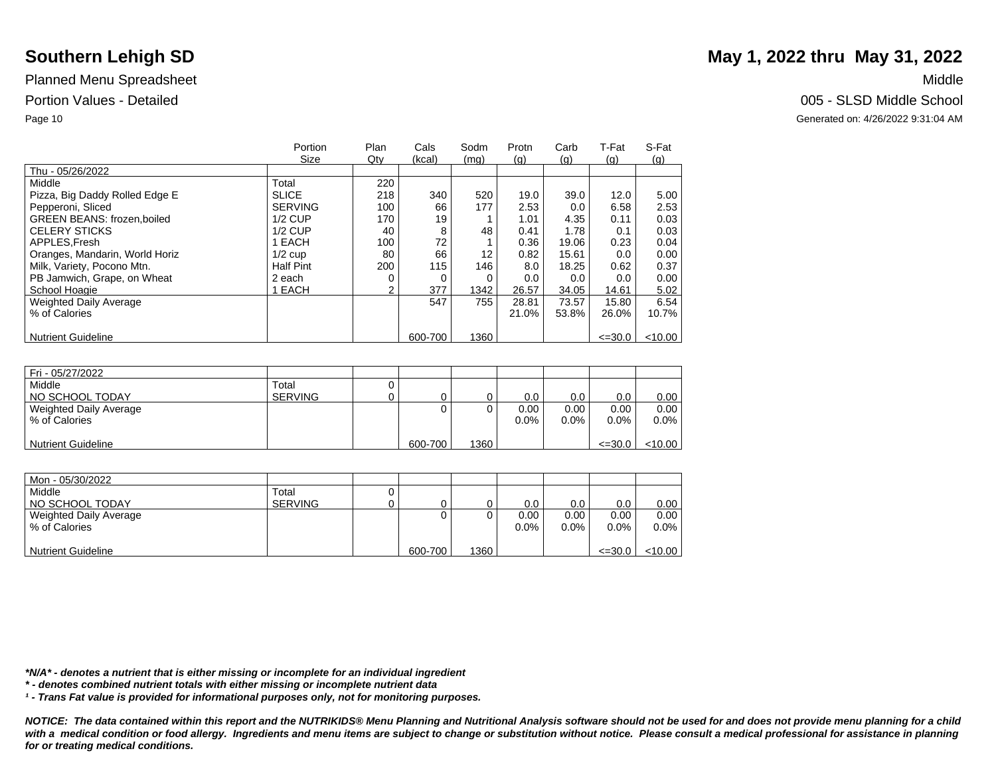|                                    | Portion          | Plan | Cals    | Sodm | Protn | Carb  | T-Fat       | S-Fat      |
|------------------------------------|------------------|------|---------|------|-------|-------|-------------|------------|
|                                    | Size             | Qty  | (kcal)  | (mg) | (q)   | (q)   | (q)         | <u>(g)</u> |
| Thu - 05/26/2022                   |                  |      |         |      |       |       |             |            |
| Middle                             | Total            | 220  |         |      |       |       |             |            |
| Pizza, Big Daddy Rolled Edge E     | <b>SLICE</b>     | 218  | 340     | 520  | 19.0  | 39.0  | 12.0        | 5.00       |
| Pepperoni, Sliced                  | <b>SERVING</b>   | 100  | 66      | 177  | 2.53  | 0.0   | 6.58        | 2.53       |
| <b>GREEN BEANS: frozen, boiled</b> | $1/2$ CUP        | 170  | 19      |      | 1.01  | 4.35  | 0.11        | 0.03       |
| <b>CELERY STICKS</b>               | $1/2$ CUP        | 40   | 8       | 48   | 0.41  | 1.78  | 0.1         | 0.03       |
| APPLES.Fresh                       | EACH             | 100  | 72      |      | 0.36  | 19.06 | 0.23        | 0.04       |
| Oranges, Mandarin, World Horiz     | $1/2$ cup        | 80   | 66      | 12   | 0.82  | 15.61 | 0.0         | 0.00       |
| Milk, Variety, Pocono Mtn.         | <b>Half Pint</b> | 200  | 115     | 146  | 8.0   | 18.25 | 0.62        | 0.37       |
| PB Jamwich, Grape, on Wheat        | 2 each           |      | 0       | 0    | 0.0   | 0.0   | 0.0         | 0.00       |
| School Hoagie                      | <b>EACH</b>      | 2    | 377     | 1342 | 26.57 | 34.05 | 14.61       | 5.02       |
| <b>Weighted Daily Average</b>      |                  |      | 547     | 755  | 28.81 | 73.57 | 15.80       | 6.54       |
| % of Calories                      |                  |      |         |      | 21.0% | 53.8% | 26.0%       | 10.7%      |
|                                    |                  |      |         |      |       |       |             |            |
| <b>Nutrient Guideline</b>          |                  |      | 600-700 | 1360 |       |       | $\leq 30.0$ | $<$ 10.00  |

| Fri - 05/27/2022          |                |         |      |         |         |             |         |
|---------------------------|----------------|---------|------|---------|---------|-------------|---------|
| Middle                    | Total          |         |      |         |         |             |         |
| NO SCHOOL TODAY           | <b>SERVING</b> |         |      | 0.0     | 0.0     | 0.0         | 0.00    |
| Weighted Daily Average    |                | 0       |      | 0.00    | 0.00    | 0.00        | 0.00    |
| % of Calories             |                |         |      | $0.0\%$ | $0.0\%$ | 0.0%        | $0.0\%$ |
|                           |                |         |      |         |         |             |         |
| <b>Nutrient Guideline</b> |                | 600-700 | 1360 |         |         | $\leq 30.0$ | < 10.00 |

| Mon - 05/30/2022          |                |         |      |         |         |             |           |
|---------------------------|----------------|---------|------|---------|---------|-------------|-----------|
| Middle                    | Total          |         |      |         |         |             |           |
| NO SCHOOL TODAY           | <b>SERVING</b> |         |      | 0.0     | 0.0     | 0.0         | 0.00      |
| Weighted Daily Average    |                |         |      | 0.00    | 0.00    | 0.00        | 0.00      |
| % of Calories             |                |         |      | $0.0\%$ | $0.0\%$ | $0.0\%$     | $0.0\%$   |
|                           |                |         |      |         |         |             |           |
| <b>Nutrient Guideline</b> |                | 600-700 | 1360 |         |         | $\leq 30.0$ | $<$ 10.00 |

*\*N/A\* - denotes a nutrient that is either missing or incomplete for an individual ingredient*

*\* - denotes combined nutrient totals with either missing or incomplete nutrient data*

*¹ - Trans Fat value is provided for informational purposes only, not for monitoring purposes.*

*NOTICE: The data contained within this report and the NUTRIKIDS® Menu Planning and Nutritional Analysis software should not be used for and does not provide menu planning for a child*  with a medical condition or food allergy. Ingredients and menu items are subject to change or substitution without notice. Please consult a medical professional for assistance in planning *for or treating medical conditions.*

# **Southern Lehigh SD** May 1, 2022 thru May 31, 2022

### Portion Values - Detailed **Detailed** 2005 - SLSD Middle School

Page 10 Generated on: 4/26/2022 9:31:04 AM